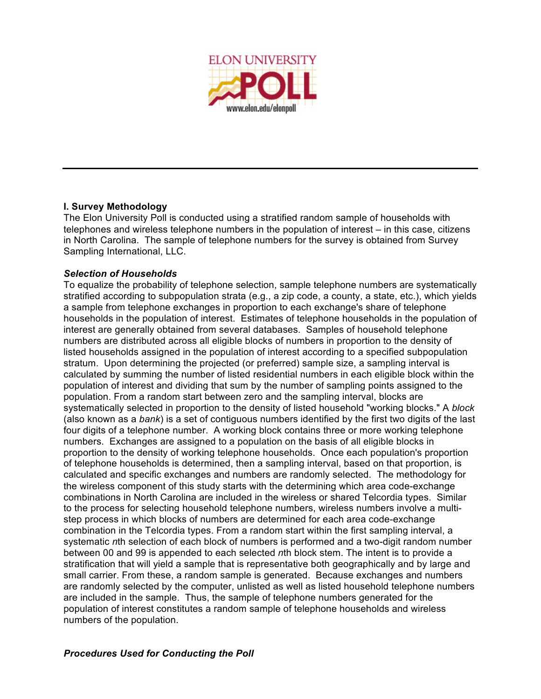

## **I. Survey Methodology**

The Elon University Poll is conducted using a stratified random sample of households with telephones and wireless telephone numbers in the population of interest – in this case, citizens in North Carolina. The sample of telephone numbers for the survey is obtained from Survey Sampling International, LLC.

#### *Selection of Households*

To equalize the probability of telephone selection, sample telephone numbers are systematically stratified according to subpopulation strata (e.g., a zip code, a county, a state, etc.), which yields a sample from telephone exchanges in proportion to each exchange's share of telephone households in the population of interest. Estimates of telephone households in the population of interest are generally obtained from several databases. Samples of household telephone numbers are distributed across all eligible blocks of numbers in proportion to the density of listed households assigned in the population of interest according to a specified subpopulation stratum. Upon determining the projected (or preferred) sample size, a sampling interval is calculated by summing the number of listed residential numbers in each eligible block within the population of interest and dividing that sum by the number of sampling points assigned to the population. From a random start between zero and the sampling interval, blocks are systematically selected in proportion to the density of listed household "working blocks." A *block* (also known as a *bank*) is a set of contiguous numbers identified by the first two digits of the last four digits of a telephone number. A working block contains three or more working telephone numbers. Exchanges are assigned to a population on the basis of all eligible blocks in proportion to the density of working telephone households. Once each population's proportion of telephone households is determined, then a sampling interval, based on that proportion, is calculated and specific exchanges and numbers are randomly selected. The methodology for the wireless component of this study starts with the determining which area code-exchange combinations in North Carolina are included in the wireless or shared Telcordia types. Similar to the process for selecting household telephone numbers, wireless numbers involve a multistep process in which blocks of numbers are determined for each area code-exchange combination in the Telcordia types. From a random start within the first sampling interval, a systematic *n*th selection of each block of numbers is performed and a two-digit random number between 00 and 99 is appended to each selected *n*th block stem. The intent is to provide a stratification that will yield a sample that is representative both geographically and by large and small carrier. From these, a random sample is generated. Because exchanges and numbers are randomly selected by the computer, unlisted as well as listed household telephone numbers are included in the sample. Thus, the sample of telephone numbers generated for the population of interest constitutes a random sample of telephone households and wireless numbers of the population.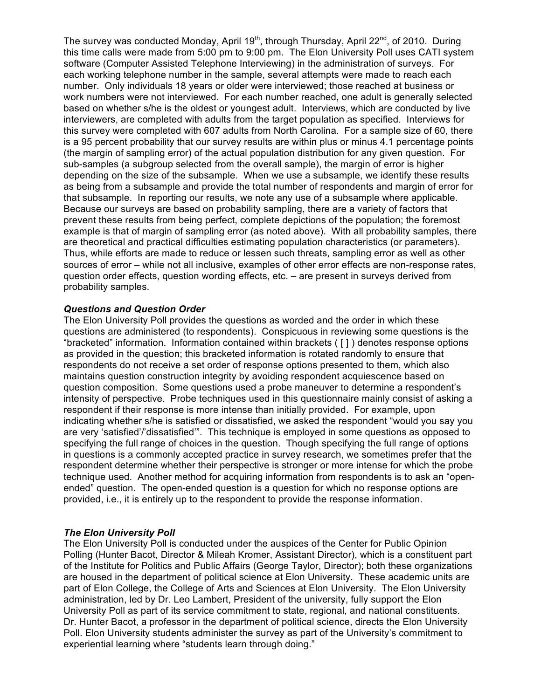The survey was conducted Monday, April 19<sup>th</sup>, through Thursday, April 22<sup>nd</sup>, of 2010. During this time calls were made from 5:00 pm to 9:00 pm. The Elon University Poll uses CATI system software (Computer Assisted Telephone Interviewing) in the administration of surveys. For each working telephone number in the sample, several attempts were made to reach each number. Only individuals 18 years or older were interviewed; those reached at business or work numbers were not interviewed. For each number reached, one adult is generally selected based on whether s/he is the oldest or youngest adult. Interviews, which are conducted by live interviewers, are completed with adults from the target population as specified. Interviews for this survey were completed with 607 adults from North Carolina. For a sample size of 60, there is a 95 percent probability that our survey results are within plus or minus 4.1 percentage points (the margin of sampling error) of the actual population distribution for any given question. For sub-samples (a subgroup selected from the overall sample), the margin of error is higher depending on the size of the subsample. When we use a subsample, we identify these results as being from a subsample and provide the total number of respondents and margin of error for that subsample. In reporting our results, we note any use of a subsample where applicable. Because our surveys are based on probability sampling, there are a variety of factors that prevent these results from being perfect, complete depictions of the population; the foremost example is that of margin of sampling error (as noted above). With all probability samples, there are theoretical and practical difficulties estimating population characteristics (or parameters). Thus, while efforts are made to reduce or lessen such threats, sampling error as well as other sources of error – while not all inclusive, examples of other error effects are non-response rates, question order effects, question wording effects, etc. – are present in surveys derived from probability samples.

#### *Questions and Question Order*

The Elon University Poll provides the questions as worded and the order in which these questions are administered (to respondents). Conspicuous in reviewing some questions is the "bracketed" information. Information contained within brackets ( [ ] ) denotes response options as provided in the question; this bracketed information is rotated randomly to ensure that respondents do not receive a set order of response options presented to them, which also maintains question construction integrity by avoiding respondent acquiescence based on question composition. Some questions used a probe maneuver to determine a respondent's intensity of perspective. Probe techniques used in this questionnaire mainly consist of asking a respondent if their response is more intense than initially provided. For example, upon indicating whether s/he is satisfied or dissatisfied, we asked the respondent "would you say you are very 'satisfied'/'dissatisfied'". This technique is employed in some questions as opposed to specifying the full range of choices in the question. Though specifying the full range of options in questions is a commonly accepted practice in survey research, we sometimes prefer that the respondent determine whether their perspective is stronger or more intense for which the probe technique used. Another method for acquiring information from respondents is to ask an "openended" question. The open-ended question is a question for which no response options are provided, i.e., it is entirely up to the respondent to provide the response information.

#### *The Elon University Poll*

The Elon University Poll is conducted under the auspices of the Center for Public Opinion Polling (Hunter Bacot, Director & Mileah Kromer, Assistant Director), which is a constituent part of the Institute for Politics and Public Affairs (George Taylor, Director); both these organizations are housed in the department of political science at Elon University. These academic units are part of Elon College, the College of Arts and Sciences at Elon University. The Elon University administration, led by Dr. Leo Lambert, President of the university, fully support the Elon University Poll as part of its service commitment to state, regional, and national constituents. Dr. Hunter Bacot, a professor in the department of political science, directs the Elon University Poll. Elon University students administer the survey as part of the University's commitment to experiential learning where "students learn through doing."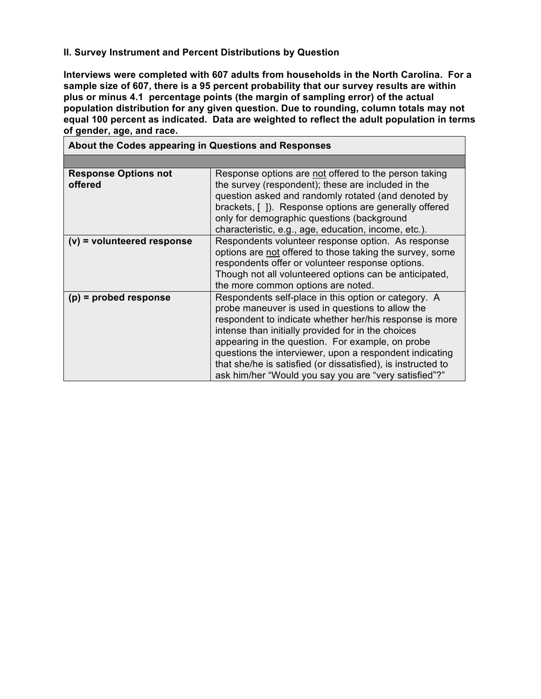## **II. Survey Instrument and Percent Distributions by Question**

**Interviews were completed with 607 adults from households in the North Carolina. For a sample size of 607, there is a 95 percent probability that our survey results are within plus or minus 4.1 percentage points (the margin of sampling error) of the actual population distribution for any given question. Due to rounding, column totals may not equal 100 percent as indicated. Data are weighted to reflect the adult population in terms of gender, age, and race.**

| About the Codes appearing in Questions and Responses |                                                                                                                                                                                                                                                                                                                                                                                                                                                                   |  |  |  |  |  |
|------------------------------------------------------|-------------------------------------------------------------------------------------------------------------------------------------------------------------------------------------------------------------------------------------------------------------------------------------------------------------------------------------------------------------------------------------------------------------------------------------------------------------------|--|--|--|--|--|
|                                                      |                                                                                                                                                                                                                                                                                                                                                                                                                                                                   |  |  |  |  |  |
| <b>Response Options not</b><br>offered               | Response options are not offered to the person taking<br>the survey (respondent); these are included in the<br>question asked and randomly rotated (and denoted by<br>brackets, []). Response options are generally offered<br>only for demographic questions (background<br>characteristic, e.g., age, education, income, etc.).                                                                                                                                 |  |  |  |  |  |
| $(v)$ = volunteered response                         | Respondents volunteer response option. As response<br>options are not offered to those taking the survey, some<br>respondents offer or volunteer response options.<br>Though not all volunteered options can be anticipated,<br>the more common options are noted.                                                                                                                                                                                                |  |  |  |  |  |
| $(p)$ = probed response                              | Respondents self-place in this option or category. A<br>probe maneuver is used in questions to allow the<br>respondent to indicate whether her/his response is more<br>intense than initially provided for in the choices<br>appearing in the question. For example, on probe<br>questions the interviewer, upon a respondent indicating<br>that she/he is satisfied (or dissatisfied), is instructed to<br>ask him/her "Would you say you are "very satisfied"?" |  |  |  |  |  |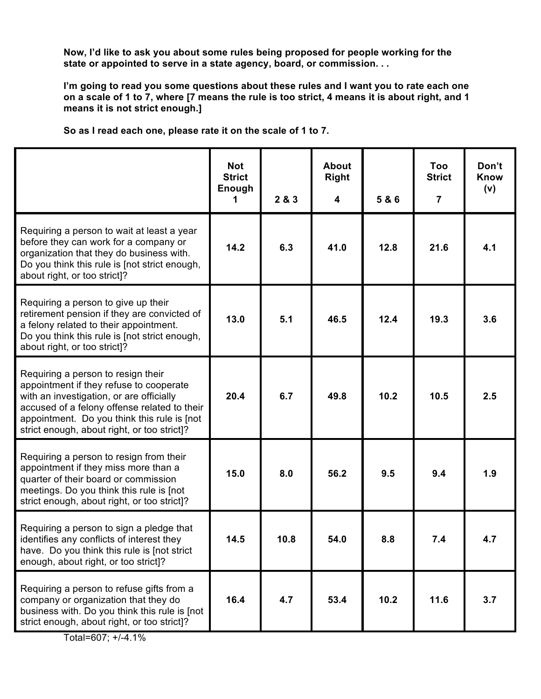**Now, I'd like to ask you about some rules being proposed for people working for the state or appointed to serve in a state agency, board, or commission. . .**

**I'm going to read you some questions about these rules and I want you to rate each one** on a scale of 1 to 7, where [7 means the rule is too strict, 4 means it is about right, and 1 **means it is not strict enough.]**

|  |  | So as I read each one, please rate it on the scale of 1 to 7. |  |  |  |  |
|--|--|---------------------------------------------------------------|--|--|--|--|
|  |  |                                                               |  |  |  |  |

|                                                                                                                                                                                                                                                                         | <b>Not</b><br><b>Strict</b><br>Enough<br>1 | 2 & 3 | <b>About</b><br><b>Right</b><br>$\boldsymbol{4}$ | 5 & 6 | Too<br><b>Strict</b><br>$\overline{7}$ | Don't<br><b>Know</b><br>(v) |
|-------------------------------------------------------------------------------------------------------------------------------------------------------------------------------------------------------------------------------------------------------------------------|--------------------------------------------|-------|--------------------------------------------------|-------|----------------------------------------|-----------------------------|
| Requiring a person to wait at least a year<br>before they can work for a company or<br>organization that they do business with.<br>Do you think this rule is [not strict enough,<br>about right, or too strict]?                                                        | 14.2                                       | 6.3   | 41.0                                             | 12.8  | 21.6                                   | 4.1                         |
| Requiring a person to give up their<br>retirement pension if they are convicted of<br>a felony related to their appointment.<br>Do you think this rule is [not strict enough,<br>about right, or too strict]?                                                           | 13.0                                       | 5.1   | 46.5                                             | 12.4  | 19.3                                   | 3.6                         |
| Requiring a person to resign their<br>appointment if they refuse to cooperate<br>with an investigation, or are officially<br>accused of a felony offense related to their<br>appointment. Do you think this rule is [not<br>strict enough, about right, or too strict]? | 20.4                                       | 6.7   | 49.8                                             | 10.2  | 10.5                                   | 2.5                         |
| Requiring a person to resign from their<br>appointment if they miss more than a<br>quarter of their board or commission<br>meetings. Do you think this rule is [not<br>strict enough, about right, or too strict]?                                                      | 15.0                                       | 8.0   | 56.2                                             | 9.5   | 9.4                                    | 1.9                         |
| Requiring a person to sign a pledge that<br>identifies any conflicts of interest they<br>have. Do you think this rule is [not strict<br>enough, about right, or too strict]?                                                                                            | 14.5                                       | 10.8  | 54.0                                             | 8.8   | 7.4                                    | 4.7                         |
| Requiring a person to refuse gifts from a<br>company or organization that they do<br>business with. Do you think this rule is [not<br>strict enough, about right, or too strict]?                                                                                       | 16.4                                       | 4.7   | 53.4                                             | 10.2  | 11.6                                   | 3.7                         |

Total=607; +/-4.1%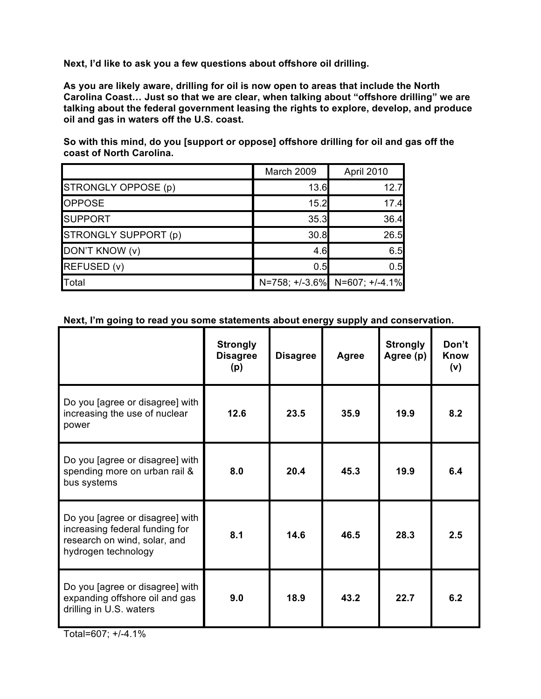**Next, I'd like to ask you a few questions about offshore oil drilling.**

**As you are likely aware, drilling for oil is now open to areas that include the North Carolina Coast… Just so that we are clear, when talking about "offshore drilling" we are talking about the federal government leasing the rights to explore, develop, and produce oil and gas in waters off the U.S. coast.**

**So with this mind, do you [support or oppose] offshore drilling for oil and gas off the coast of North Carolina.**

|                      | March 2009 | April 2010                    |
|----------------------|------------|-------------------------------|
| STRONGLY OPPOSE (p)  | 13.6       | 12.7                          |
| <b>OPPOSE</b>        | 15.2       | 17.4                          |
| <b>SUPPORT</b>       | 35.3       | 36.4                          |
| STRONGLY SUPPORT (p) | 30.8       | 26.5                          |
| DON'T KNOW (v)       | 4.6        | 6.5                           |
| REFUSED (v)          | 0.5        | 0.5                           |
| Total                |            | N=758; +/-3.6% N=607; +/-4.1% |

## **Next, I'm going to read you some statements about energy supply and conservation.**

|                                                                                                                          | <b>Strongly</b><br><b>Disagree</b><br>(p) | <b>Disagree</b> | Agree | <b>Strongly</b><br>Agree (p) | Don't<br>Know<br>(v) |
|--------------------------------------------------------------------------------------------------------------------------|-------------------------------------------|-----------------|-------|------------------------------|----------------------|
| Do you [agree or disagree] with<br>increasing the use of nuclear<br>power                                                | 12.6                                      | 23.5            | 35.9  | 19.9                         | 8.2                  |
| Do you [agree or disagree] with<br>spending more on urban rail &<br>bus systems                                          | 8.0                                       | 20.4            | 45.3  | 19.9                         | 6.4                  |
| Do you [agree or disagree] with<br>increasing federal funding for<br>research on wind, solar, and<br>hydrogen technology | 8.1                                       | 14.6            | 46.5  | 28.3                         | 2.5                  |
| Do you [agree or disagree] with<br>expanding offshore oil and gas<br>drilling in U.S. waters                             | 9.0                                       | 18.9            | 43.2  | 22.7                         | 6.2                  |

Total=607; +/-4.1%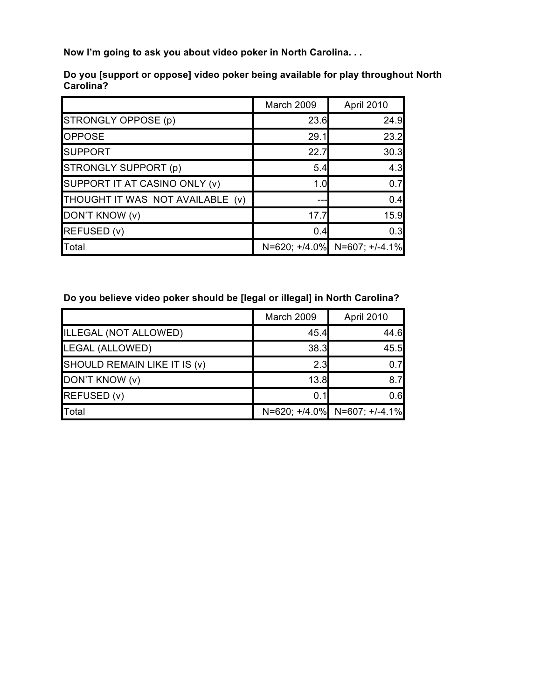**Now I'm going to ask you about video poker in North Carolina. . .**

|                                  | March 2009 | April 2010                   |
|----------------------------------|------------|------------------------------|
| STRONGLY OPPOSE (p)              | 23.6       | 24.9                         |
| <b>OPPOSE</b>                    | 29.1       | 23.2                         |
| <b>SUPPORT</b>                   | 22.7       | 30.3                         |
| STRONGLY SUPPORT (p)             | 5.4        | 4.3                          |
| SUPPORT IT AT CASINO ONLY (v)    | 1.0        | 0.7                          |
| THOUGHT IT WAS NOT AVAILABLE (v) |            | 0.4                          |
| DON'T KNOW (v)                   | 17.7       | 15.9                         |
| REFUSED (v)                      | 0.4        | 0.3                          |
| Total                            |            | N=620; +/4.0% N=607; +/-4.1% |

**Do you [support or oppose] video poker being available for play throughout North Carolina?**

## **Do you believe video poker should be [legal or illegal] in North Carolina?**

|                              | March 2009 | April 2010                   |
|------------------------------|------------|------------------------------|
| ILLEGAL (NOT ALLOWED)        | 45.4       | 44.6                         |
| LEGAL (ALLOWED)              | 38.3       | 45.5                         |
| SHOULD REMAIN LIKE IT IS (v) | 2.3        | 0 7I                         |
| DON'T KNOW (v)               | 13.8       | 8.7                          |
| REFUSED (v)                  | 0.1        | 0.6                          |
| <b>T</b> otal                |            | N=620; +/4.0% N=607; +/-4.1% |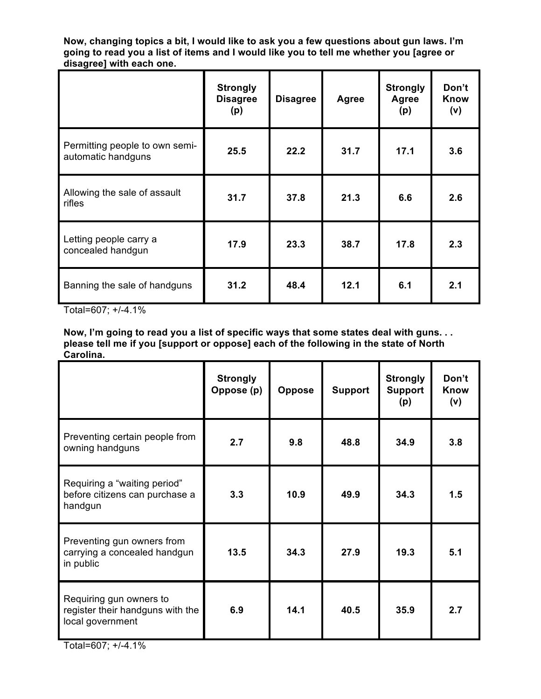**Now, changing topics a bit, I would like to ask you a few questions about gun laws. I'm** going to read you a list of items and I would like you to tell me whether you [agree or **disagree] with each one.**

|                                                      | <b>Strongly</b><br><b>Disagree</b><br>(p) | <b>Disagree</b> | <b>Agree</b> | <b>Strongly</b><br>Agree<br>(p) | Don't<br><b>Know</b><br>(v) |
|------------------------------------------------------|-------------------------------------------|-----------------|--------------|---------------------------------|-----------------------------|
| Permitting people to own semi-<br>automatic handguns | 25.5                                      | 22.2            | 31.7         | 17.1                            | 3.6                         |
| Allowing the sale of assault<br>rifles               | 31.7                                      | 37.8            | 21.3         | 6.6                             | 2.6                         |
| Letting people carry a<br>concealed handgun          | 17.9                                      | 23.3            | 38.7         | 17.8                            | 2.3                         |
| Banning the sale of handguns                         | 31.2                                      | 48.4            | 12.1         | 6.1                             | 2.1                         |

Total=607; +/-4.1%

**Now, I'm going to read you a list of specific ways that some states deal with guns. . . please tell me if you [support or oppose] each of the following in the state of North Carolina.**

|                                                                                 | <b>Strongly</b><br>Oppose (p) | <b>Oppose</b> | <b>Support</b> | <b>Strongly</b><br><b>Support</b><br>(p) | Don't<br><b>Know</b><br>(v) |
|---------------------------------------------------------------------------------|-------------------------------|---------------|----------------|------------------------------------------|-----------------------------|
| Preventing certain people from<br>owning handguns                               | 2.7                           | 9.8           | 48.8           | 34.9                                     | 3.8                         |
| Requiring a "waiting period"<br>before citizens can purchase a<br>handgun       | 3.3                           | 10.9          | 49.9           | 34.3                                     | 1.5                         |
| Preventing gun owners from<br>carrying a concealed handgun<br>in public         | 13.5                          | 34.3          | 27.9           | 19.3                                     | 5.1                         |
| Requiring gun owners to<br>register their handguns with the<br>local government | 6.9                           | 14.1          | 40.5           | 35.9                                     | 2.7                         |

Total=607; +/-4.1%